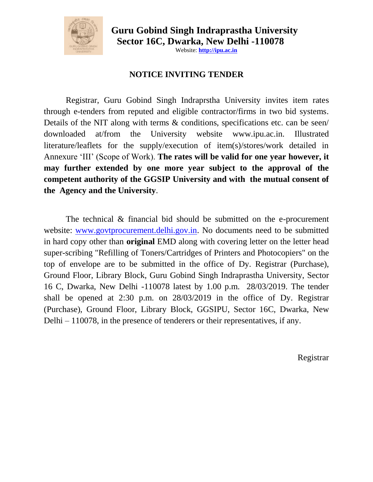

 **Guru Gobind Singh Indraprastha University Sector 16C, Dwarka, New Delhi -110078** 

Website: **[http://ipu.ac.in](http://ipu.ac.in/)**

# **NOTICE INVITING TENDER**

Registrar, Guru Gobind Singh Indraprstha University invites item rates through e-tenders from reputed and eligible contractor/firms in two bid systems. Details of the NIT along with terms & conditions, specifications etc. can be seen/ downloaded at/from the University website [www.ipu.ac.in.](http://www.ipu.ac.in/) Illustrated literature/leaflets for the supply/execution of item(s)/stores/work detailed in Annexure "III" (Scope of Work). **The rates will be valid for one year however, it may further extended by one more year subject to the approval of the competent authority of the GGSIP University and with the mutual consent of the Agency and the University**.

The technical & financial bid should be submitted on the e-procurement website: [www.govtprocurement.delhi.gov.in.](http://www.govtprocurement.delhi.gov.in/) No documents need to be submitted in hard copy other than **original** EMD along with covering letter on the letter head super-scribing "Refilling of Toners/Cartridges of Printers and Photocopiers" on the top of envelope are to be submitted in the office of Dy. Registrar (Purchase), Ground Floor, Library Block, Guru Gobind Singh Indraprastha University, Sector 16 C, Dwarka, New Delhi -110078 latest by 1.00 p.m. 28/03/2019. The tender shall be opened at 2:30 p.m. on 28/03/2019 in the office of Dy. Registrar (Purchase), Ground Floor, Library Block, GGSIPU, Sector 16C, Dwarka, New Delhi – 110078, in the presence of tenderers or their representatives, if any.

Registrar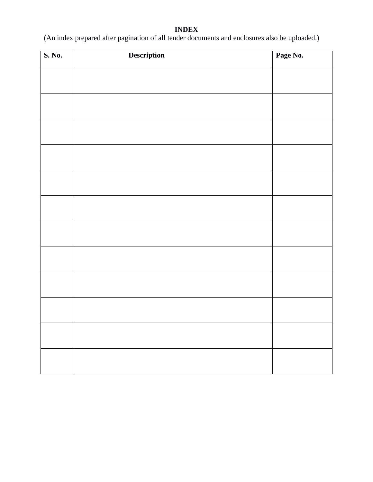#### **INDEX**

(An index prepared after pagination of all tender documents and enclosures also be uploaded.)

| S. No. | Description | Page No. |
|--------|-------------|----------|
|        |             |          |
|        |             |          |
|        |             |          |
|        |             |          |
|        |             |          |
|        |             |          |
|        |             |          |
|        |             |          |
|        |             |          |
|        |             |          |
|        |             |          |
|        |             |          |
|        |             |          |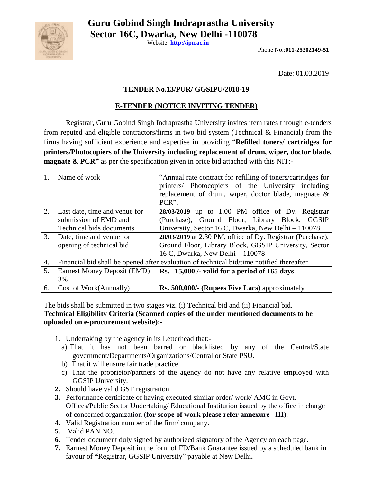

 **Guru Gobind Singh Indraprastha University Sector 16C, Dwarka, New Delhi -110078** 

Website: **[http://ipu.ac.in](http://ipu.ac.in/)**

Phone No.:**011-25302149-51**

Date: 01.03.2019

### **TENDER No.13/PUR/ GGSIPU/2018-19**

## **E-TENDER (NOTICE INVITING TENDER)**

Registrar, Guru Gobind Singh Indraprastha University invites item rates through e-tenders from reputed and eligible contractors/firms in two bid system (Technical & Financial) from the firms having sufficient experience and expertise in providing "**Refilled toners/ cartridges for printers/Photocopiers of the University including replacement of drum, wiper, doctor blade, magnate & PCR"** as per the specification given in price bid attached with this NIT:-

|    | Name of work                                                                             | "Annual rate contract for refilling of toners/cartridges for<br>printers/ Photocopiers of the University including<br>replacement of drum, wiper, doctor blade, magnate &<br>PCR". |  |  |
|----|------------------------------------------------------------------------------------------|------------------------------------------------------------------------------------------------------------------------------------------------------------------------------------|--|--|
| 2. | Last date, time and venue for                                                            | 28/03/2019 up to 1.00 PM office of Dy. Registrar                                                                                                                                   |  |  |
|    | submission of EMD and                                                                    | (Purchase), Ground Floor, Library Block, GGSIP                                                                                                                                     |  |  |
|    | Technical bids documents                                                                 | University, Sector 16 C, Dwarka, New Delhi - 110078                                                                                                                                |  |  |
| 3. | Date, time and venue for                                                                 | 28/03/2019 at 2.30 PM, office of Dy. Registrar (Purchase),                                                                                                                         |  |  |
|    | opening of technical bid                                                                 | Ground Floor, Library Block, GGSIP University, Sector                                                                                                                              |  |  |
|    |                                                                                          | 16 C, Dwarka, New Delhi - 110078                                                                                                                                                   |  |  |
| 4. | Financial bid shall be opened after evaluation of technical bid/time notified thereafter |                                                                                                                                                                                    |  |  |
| 5. | Earnest Money Deposit (EMD)                                                              | Rs. 15,000 /- valid for a period of 165 days                                                                                                                                       |  |  |
|    | 3%                                                                                       |                                                                                                                                                                                    |  |  |
| 6. | Cost of Work(Annually)                                                                   | Rs. 500,000/- (Rupees Five Lacs) approximately                                                                                                                                     |  |  |

The bids shall be submitted in two stages viz. (i) Technical bid and (ii) Financial bid. **Technical Eligibility Criteria (Scanned copies of the under mentioned documents to be uploaded on e-procurement website):-**

- 1. Undertaking by the agency in its Letterhead that:
	- a) That it has not been barred or blacklisted by any of the Central/State government/Departments/Organizations/Central or State PSU.
	- b) That it will ensure fair trade practice.
	- c) That the proprietor/partners of the agency do not have any relative employed with GGSIP University.
- **2.** Should have valid GST registration
- **3.** Performance certificate of having executed similar order/ work/ AMC in Govt. Offices/Public Sector Undertaking/ Educational Institution issued by the office in charge of concerned organization (**for scope of work please refer annexure –III**).
- **4.** Valid Registration number of the firm/ company.
- **5.** Valid PAN NO.
- **6.** Tender document duly signed by authorized signatory of the Agency on each page.
- **7.** Earnest Money Deposit in the form of FD/Bank Guarantee issued by a scheduled bank in favour of **"**Registrar, GGSIP University" payable at New Delhi**.**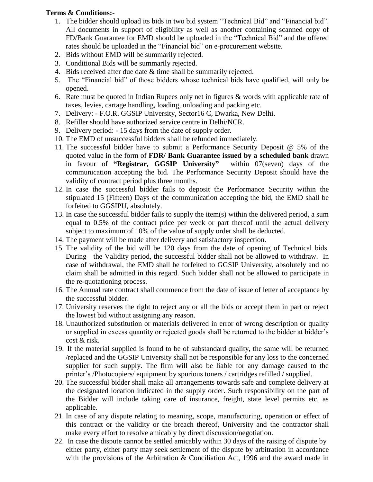### **Terms & Conditions:-**

- 1. The bidder should upload its bids in two bid system "Technical Bid" and "Financial bid". All documents in support of eligibility as well as another containing scanned copy of FD/Bank Guarantee for EMD should be uploaded in the "Technical Bid" and the offered rates should be uploaded in the "Financial bid" on e-procurement website.
- 2. Bids without EMD will be summarily rejected.
- 3. Conditional Bids will be summarily rejected.
- 4. Bids received after due date & time shall be summarily rejected.
- 5. The "Financial bid" of those bidders whose technical bids have qualified, will only be opened.
- 6. Rate must be quoted in Indian Rupees only net in figures & words with applicable rate of taxes, levies, cartage handling, loading, unloading and packing etc.
- 7. Delivery: F.O.R. GGSIP University, Sector16 C, Dwarka, New Delhi.
- 8. Refiller should have authorized service centre in Delhi/NCR.
- 9. Delivery period: 15 days from the date of supply order.
- 10. The EMD of unsuccessful bidders shall be refunded immediately.
- 11. The successful bidder have to submit a Performance Security Deposit @ 5% of the quoted value in the form of **FDR/ Bank Guarantee issued by a scheduled bank** drawn in favour of **"Registrar, GGSIP University"** within 07(seven) days of the communication accepting the bid. The Performance Security Deposit should have the validity of contract period plus three months.
- 12. In case the successful bidder fails to deposit the Performance Security within the stipulated 15 (Fifteen) Days of the communication accepting the bid, the EMD shall be forfeited to GGSIPU, absolutely.
- 13. In case the successful bidder fails to supply the item(s) within the delivered period, a sum equal to 0.5% of the contract price per week or part thereof until the actual delivery subject to maximum of 10% of the value of supply order shall be deducted.
- 14. The payment will be made after delivery and satisfactory inspection.
- 15. The validity of the bid will be 120 days from the date of opening of Technical bids. During the Validity period, the successful bidder shall not be allowed to withdraw. In case of withdrawal, the EMD shall be forfeited to GGSIP University, absolutely and no claim shall be admitted in this regard. Such bidder shall not be allowed to participate in the re-quotationing process.
- 16. The Annual rate contract shall commence from the date of issue of letter of acceptance by the successful bidder.
- 17. University reserves the right to reject any or all the bids or accept them in part or reject the lowest bid without assigning any reason.
- 18. Unauthorized substitution or materials delivered in error of wrong description or quality or supplied in excess quantity or rejected goods shall be returned to the bidder at bidder"s cost & risk.
- 19. If the material supplied is found to be of substandard quality, the same will be returned /replaced and the GGSIP University shall not be responsible for any loss to the concerned supplier for such supply. The firm will also be liable for any damage caused to the printer"s /Photocopiers/ equipment by spurious toners / cartridges refilled / supplied.
- 20. The successful bidder shall make all arrangements towards safe and complete delivery at the designated location indicated in the supply order. Such responsibility on the part of the Bidder will include taking care of insurance, freight, state level permits etc. as applicable.
- 21. In case of any dispute relating to meaning, scope, manufacturing, operation or effect of this contract or the validity or the breach thereof, University and the contractor shall make every effort to resolve amicably by direct discussion/negotiation.
- 22. In case the dispute cannot be settled amicably within 30 days of the raising of dispute by either party, either party may seek settlement of the dispute by arbitration in accordance with the provisions of the Arbitration & Conciliation Act, 1996 and the award made in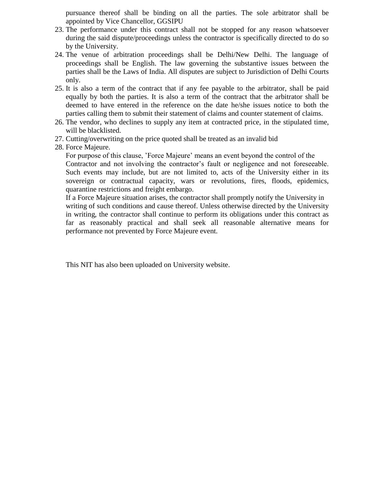pursuance thereof shall be binding on all the parties. The sole arbitrator shall be appointed by Vice Chancellor, GGSIPU

- 23. The performance under this contract shall not be stopped for any reason whatsoever during the said dispute/proceedings unless the contractor is specifically directed to do so by the University.
- 24. The venue of arbitration proceedings shall be Delhi/New Delhi. The language of proceedings shall be English. The law governing the substantive issues between the parties shall be the Laws of India. All disputes are subject to Jurisdiction of Delhi Courts only.
- 25. It is also a term of the contract that if any fee payable to the arbitrator, shall be paid equally by both the parties. It is also a term of the contract that the arbitrator shall be deemed to have entered in the reference on the date he/she issues notice to both the parties calling them to submit their statement of claims and counter statement of claims.
- 26. The vendor, who declines to supply any item at contracted price, in the stipulated time, will be blacklisted.
- 27. Cutting/overwriting on the price quoted shall be treated as an invalid bid
- 28. Force Majeure.

For purpose of this clause, "Force Majeure" means an event beyond the control of the Contractor and not involving the contractor's fault or negligence and not foreseeable. Such events may include, but are not limited to, acts of the University either in its sovereign or contractual capacity, wars or revolutions, fires, floods, epidemics, quarantine restrictions and freight embargo.

If a Force Majeure situation arises, the contractor shall promptly notify the University in writing of such conditions and cause thereof. Unless otherwise directed by the University in writing, the contractor shall continue to perform its obligations under this contract as far as reasonably practical and shall seek all reasonable alternative means for performance not prevented by Force Majeure event.

This NIT has also been uploaded on University website.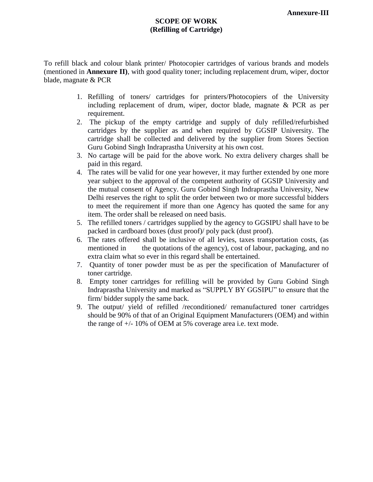### **SCOPE OF WORK (Refilling of Cartridge)**

To refill black and colour blank printer/ Photocopier cartridges of various brands and models (mentioned in **Annexure II)**, with good quality toner; including replacement drum, wiper, doctor blade, magnate & PCR

- 1. Refilling of toners/ cartridges for printers/Photocopiers of the University including replacement of drum, wiper, doctor blade, magnate & PCR as per requirement.
- 2. The pickup of the empty cartridge and supply of duly refilled/refurbished cartridges by the supplier as and when required by GGSIP University. The cartridge shall be collected and delivered by the supplier from Stores Section Guru Gobind Singh Indraprastha University at his own cost.
- 3. No cartage will be paid for the above work. No extra delivery charges shall be paid in this regard.
- 4. The rates will be valid for one year however, it may further extended by one more year subject to the approval of the competent authority of GGSIP University and the mutual consent of Agency. Guru Gobind Singh Indraprastha University, New Delhi reserves the right to split the order between two or more successful bidders to meet the requirement if more than one Agency has quoted the same for any item. The order shall be released on need basis.
- 5. The refilled toners / cartridges supplied by the agency to GGSIPU shall have to be packed in cardboard boxes (dust proof)/ poly pack (dust proof).
- 6. The rates offered shall be inclusive of all levies, taxes transportation costs, (as mentioned in the quotations of the agency), cost of labour, packaging, and no extra claim what so ever in this regard shall be entertained.
- 7. Quantity of toner powder must be as per the specification of Manufacturer of toner cartridge.
- 8. Empty toner cartridges for refilling will be provided by Guru Gobind Singh Indraprastha University and marked as "SUPPLY BY GGSIPU" to ensure that the firm/ bidder supply the same back.
- 9. The output/ yield of refilled /reconditioned/ remanufactured toner cartridges should be 90% of that of an Original Equipment Manufacturers (OEM) and within the range of +/- 10% of OEM at 5% coverage area i.e. text mode.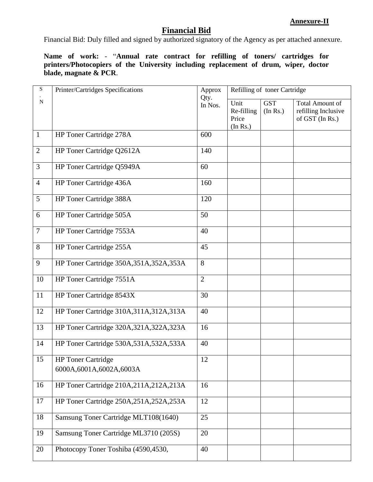# **Financial Bid**

Financial Bid: Duly filled and signed by authorized signatory of the Agency as per attached annexure.

**Name of work:** - "**Annual rate contract for refilling of toners/ cartridges for printers/Photocopiers of the University including replacement of drum, wiper, doctor blade, magnate & PCR**.

| $\mathbf S$    | Printer/Cartridges Specifications                    | Approx<br>Qty. | Refilling of toner Cartridge            |                        |                                                                  |
|----------------|------------------------------------------------------|----------------|-----------------------------------------|------------------------|------------------------------------------------------------------|
| ${\bf N}$      |                                                      | In Nos.        | Unit<br>Re-filling<br>Price<br>(In Rs.) | <b>GST</b><br>(In Rs.) | <b>Total Amount of</b><br>refilling Inclusive<br>of GST (In Rs.) |
| $\mathbf{1}$   | HP Toner Cartridge 278A                              | 600            |                                         |                        |                                                                  |
| $\mathbf{2}$   | HP Toner Cartridge Q2612A                            | 140            |                                         |                        |                                                                  |
| 3              | HP Toner Cartridge Q5949A                            | 60             |                                         |                        |                                                                  |
| $\overline{4}$ | HP Toner Cartridge 436A                              | 160            |                                         |                        |                                                                  |
| 5              | HP Toner Cartridge 388A                              | 120            |                                         |                        |                                                                  |
| 6              | HP Toner Cartridge 505A                              | 50             |                                         |                        |                                                                  |
| $\overline{7}$ | HP Toner Cartridge 7553A                             | 40             |                                         |                        |                                                                  |
| 8              | HP Toner Cartridge 255A                              | 45             |                                         |                        |                                                                  |
| 9              | HP Toner Cartridge 350A, 351A, 352A, 353A            | 8              |                                         |                        |                                                                  |
| 10             | HP Toner Cartridge 7551A                             | $\overline{2}$ |                                         |                        |                                                                  |
| 11             | HP Toner Cartridge 8543X                             | 30             |                                         |                        |                                                                  |
| 12             | HP Toner Cartridge 310A, 311A, 312A, 313A            | 40             |                                         |                        |                                                                  |
| 13             | HP Toner Cartridge 320A, 321A, 322A, 323A            | 16             |                                         |                        |                                                                  |
| 14             | HP Toner Cartridge 530A, 531A, 532A, 533A            | 40             |                                         |                        |                                                                  |
| 15             | <b>HP</b> Toner Cartridge<br>6000A,6001A,6002A,6003A | 12             |                                         |                        |                                                                  |
| 16             | HP Toner Cartridge 210A,211A,212A,213A               | 16             |                                         |                        |                                                                  |
| 17             | HP Toner Cartridge 250A, 251A, 252A, 253A            | 12             |                                         |                        |                                                                  |
| 18             | Samsung Toner Cartridge MLT108(1640)                 | 25             |                                         |                        |                                                                  |
| 19             | Samsung Toner Cartridge ML3710 (205S)                | 20             |                                         |                        |                                                                  |
| 20             | Photocopy Toner Toshiba (4590,4530,                  | 40             |                                         |                        |                                                                  |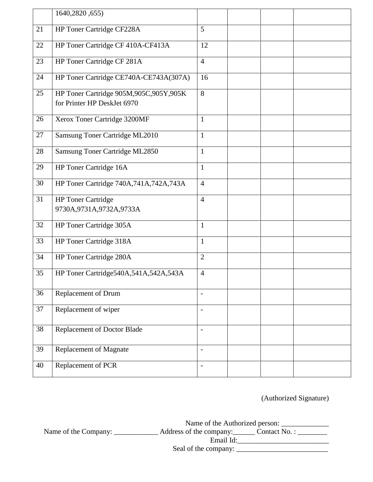|        | 1640, 2820, 655)                                                         |                          |  |  |
|--------|--------------------------------------------------------------------------|--------------------------|--|--|
| 21     | HP Toner Cartridge CF228A                                                | 5                        |  |  |
| 22     | HP Toner Cartridge CF 410A-CF413A                                        | 12                       |  |  |
| 23     | HP Toner Cartridge CF 281A                                               | $\overline{4}$           |  |  |
| 24     | HP Toner Cartridge CE740A-CE743A(307A)                                   | 16                       |  |  |
| 25     | HP Toner Cartridge 905M, 905C, 905Y, 905K<br>for Printer HP DeskJet 6970 | 8                        |  |  |
| 26     | Xerox Toner Cartridge 3200MF                                             | $\mathbf{1}$             |  |  |
| 27     | Samsung Toner Cartridge ML2010                                           | $\mathbf{1}$             |  |  |
| $28\,$ | Samsung Toner Cartridge ML2850                                           | $\mathbf{1}$             |  |  |
| 29     | HP Toner Cartridge 16A                                                   | $\mathbf{1}$             |  |  |
| 30     | HP Toner Cartridge 740A,741A,742A,743A                                   | $\overline{4}$           |  |  |
| 31     | <b>HP</b> Toner Cartridge<br>9730A, 9731A, 9732A, 9733A                  | $\overline{4}$           |  |  |
| 32     | HP Toner Cartridge 305A                                                  | $\mathbf{1}$             |  |  |
| 33     | HP Toner Cartridge 318A                                                  | $\mathbf{1}$             |  |  |
| 34     | HP Toner Cartridge 280A                                                  | $\overline{2}$           |  |  |
| 35     | HP Toner Cartridge540A,541A,542A,543A                                    | $\overline{4}$           |  |  |
| 36     | Replacement of Drum                                                      |                          |  |  |
| 37     | Replacement of wiper                                                     | $\overline{\phantom{a}}$ |  |  |
| 38     | Replacement of Doctor Blade                                              | $\overline{\phantom{a}}$ |  |  |
| 39     | <b>Replacement of Magnate</b>                                            | $\overline{\phantom{a}}$ |  |  |
| 40     | Replacement of PCR                                                       | $\overline{\phantom{a}}$ |  |  |

(Authorized Signature)

Name of the Authorized person: \_\_\_\_\_\_\_\_\_\_\_\_\_ Name of the Company: \_\_\_\_\_\_\_\_\_\_\_\_\_\_\_\_ Address of the company: \_\_\_\_\_\_\_ Contact No. : \_\_\_\_\_\_\_\_\_ Email Id:\_\_\_\_\_\_\_\_\_\_\_\_\_\_\_\_\_\_\_\_\_\_\_\_\_ Seal of the company: \_\_\_\_\_\_\_\_\_\_\_\_\_\_\_\_\_\_\_\_\_\_\_\_\_